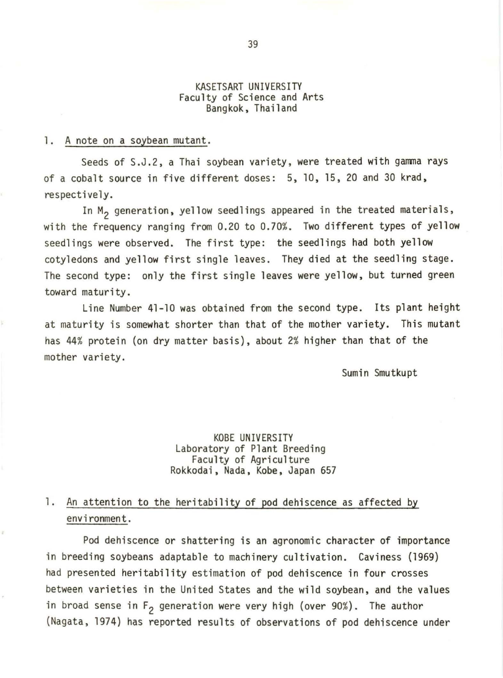#### KASETSART UNIVERSITY Faculty of Science and Arts Bangkok, Thailand

#### 1. A note on a soybean mutant.

Seeds of S.J.2, a Thai soybean variety, were treated with gamma rays of a cobalt source in five different doses: 5, 10, 15, 20 and 30 krad, respectively.

In  $M_2$  generation, yellow seedlings appeared in the treated materials, with the frequency ranging from 0.20 to 0.70%. Two different types of yellow seedlings were observed. The first type: the seedlings had both yellow cotyledons and yellow first single leaves. They died at the seedling stage. The second type: only the first single leaves were yellow, but turned green toward maturity.

Line Number 41-10 was obtained from the second type. Its plant height at maturity is somewhat shorter than that of the mother variety. This mutant has 44% protein (on dry matter basis), about 2% higher than that of the mother variety.

Sumin Smutkupt

## KOBE UNIVERSITY Laboratory of Plant Breeding Rokkodai, Nada, Kobe, Japan 657

### 1. An attention to the heritability of pod dehiscence as affected by environment.

Pod dehiscence or shattering is an agronomic character of importance in breeding soybeans adaptable to machinery cultivation. Caviness (1969) had presented heritability estimation of pod dehiscence in four crosses between varieties in the United States and the wild soybean, and the values in broad sense in  $F_2$  generation were very high (over 90%). The author (Nagata, 1974) has reported results of observations of pod dehiscence under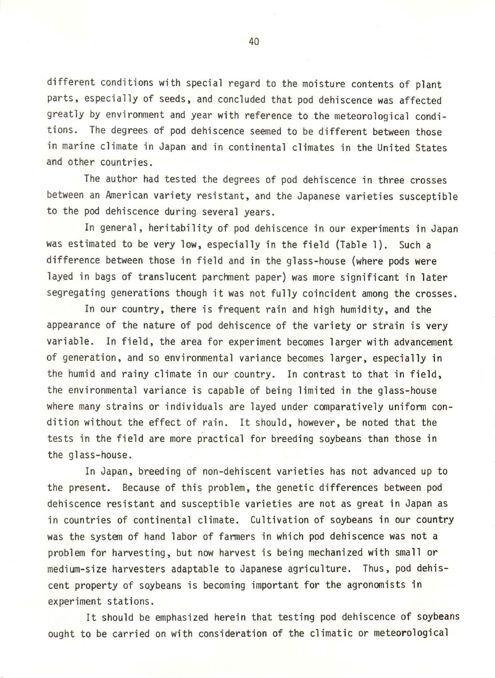different conditions with special regard to the moisture contents of plant parts, especially of seeds, and concluded that pod dehiscence was affected greatly by environment and year with reference to the meteorological conditions. The degrees of pod dehiscence seemed to be different between those in marine climate in Japan and in continental climates in the United States and other countries.

The author had tested the degrees of pod dehiscence in three crosses between an American variety resistant, and the Japanese varieties susceptible to the pod dehiscence during several years.

In general, heritability of pod dehiscence in our experiments in Japan was estimated to be very low, especially in the field (Table 1). Such a difference between those in field and in the glass-house (where pods were layed in bags of translucent parchment paper) was more significant in later segregating generations though it was not fully coincident among the crosses.

In our country, there is frequent rain and high humidity, and the appearance of the nature of pod dehiscence of the variety or strain is very variable. In field, the area for experiment becomes larger with advancement of generation, and so environmental variance becomes larger, especially in the humid and rainy climate in our country. In contrast to that in field, the environmental variance is capable of being limited in the glass-house where many strains or individuals are layed under comparatively uniform condition without the effect of rain. It should, however, be noted that the tests in the field are more practical for breeding soybeans than those in the glass-house.

In Japan, breeding of non-dehiscent varieties has not advanced up to the present. Because of this problem, the genetic differences between pod dehiscence resistant and susceptible varieties are not as great in Japan as in countries of continental climate. Cultivation of soybeans in our country was the system of hand labor of fanners in which pod dehiscence was not a problem for harvesting, but now harvest is being mechanized with small or medium-size harvesters adaptable to Japanese agriculture. Thus, pod dehiscent property of soybeans is becoming important for the agronomists in experiment stations.

It should be emphasized herein that testing pod dehiscence of soybeans ought to be carried on with consideration of the climatic or meteorological

40